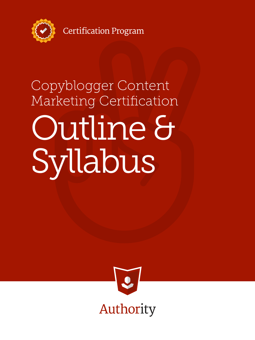

**Certification Program** 

# Outline & Syllabus Copyblogger Content Marketing Certification

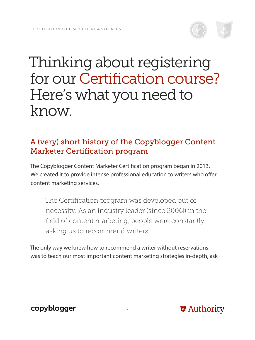# Thinking about registering for our Certification course? Here's what you need to know.

# A (very) short history of the Copyblogger Content Marketer Certification program

The Copyblogger Content Marketer Certification program began in 2013. We created it to provide intense professional education to writers who offer content marketing services.

The Certification program was developed out of necessity. As an industry leader (since 2006!) in the field of content marketing, people were constantly asking us to recommend writers.

The only way we knew how to recommend a writer without reservations was to teach our most important content marketing strategies in-depth, ask

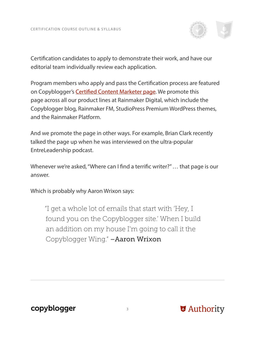

Certification candidates to apply to demonstrate their work, and have our editorial team individually review each application.

Program members who apply and pass the Certification process are featured on Copyblogger's [Certified Content Marketer page.](http://www.copyblogger.com/certified-content-marketers/) We promote this page across all our product lines at Rainmaker Digital, which include the Copyblogger blog, Rainmaker FM, StudioPress Premium WordPress themes, and the Rainmaker Platform.

And we promote the page in other ways. For example, Brian Clark recently talked the page up when he was interviewed on the ultra-popular EntreLeadership podcast.

Whenever we're asked, "Where can I find a terrific writer?" … that page is our answer.

Which is probably why Aaron Wrixon says:

"I get a whole lot of emails that start with 'Hey, I found you on the Copyblogger site.' When I build an addition on my house I'm going to call it the Copyblogger Wing." –Aaron Wrixon

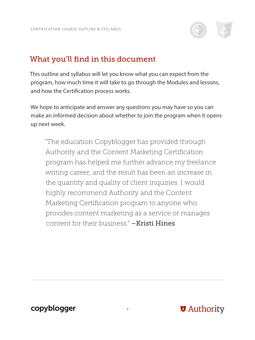

#### What you'll find in this document

This outline and syllabus will let you know what you can expect from the program, how much time it will take to go through the Modules and lessons, and how the Certification process works.

We hope to anticipate and answer any questions you may have so you can make an informed decision about whether to join the program when it opens up next week.

"The education Copyblogger has provided through Authority and the Content Marketing Certification program has helped me further advance my freelance writing career, and the result has been an increase in the quantity and quality of client inquiries. I would highly recommend Authority and the Content Marketing Certification program to anyone who provides content marketing as a service or manages content for their business." –Kristi Hines

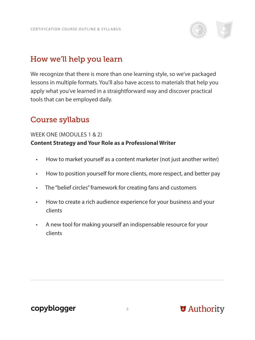

## How we'll help you learn

We recognize that there is more than one learning style, so we've packaged lessons in multiple formats. You'll also have access to materials that help you apply what you've learned in a straightforward way and discover practical tools that can be employed daily.

#### Course syllabus

#### WEEK ONE (MODULES 1 & 2) **Content Strategy and Your Role as a Professional Writer**

- How to market yourself as a content marketer (not just another writer)
- How to position yourself for more clients, more respect, and better pay
- The "belief circles" framework for creating fans and customers
- How to create a rich audience experience for your business and your clients
- A new tool for making yourself an indispensable resource for your clients

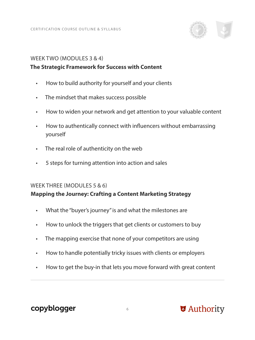

#### WEEK TWO (MODULES 3 & 4)

#### **The Strategic Framework for Success with Content**

- How to build authority for yourself and your clients
- The mindset that makes success possible
- How to widen your network and get attention to your valuable content
- How to authentically connect with influencers without embarrassing yourself
- The real role of authenticity on the web
- 5 steps for turning attention into action and sales

#### WEEK THREE (MODULES 5 & 6)

#### **Mapping the Journey: Crafting a Content Marketing Strategy**

- What the "buyer's journey" is and what the milestones are
- How to unlock the triggers that get clients or customers to buy
- The mapping exercise that none of your competitors are using
- How to handle potentially tricky issues with clients or employers
- How to get the buy-in that lets you move forward with great content

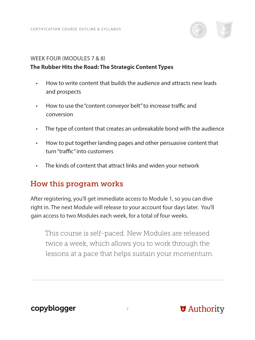

#### WEEK FOUR (MODULES 7 & 8)

#### **The Rubber Hits the Road: The Strategic Content Types**

- How to write content that builds the audience and attracts new leads and prospects
- How to use the "content conveyor belt" to increase traffic and conversion
- The type of content that creates an unbreakable bond with the audience
- How to put together landing pages and other persuasive content that turn "traffic" into customers
- The kinds of content that attract links and widen your network

#### How this program works

After registering, you'll get immediate access to Module 1, so you can dive right in. The next Module will release to your account four days later. You'll gain access to two Modules each week, for a total of four weeks.

This course is self-paced. New Modules are released twice a week, which allows you to work through the lessons at a pace that helps sustain your momentum.

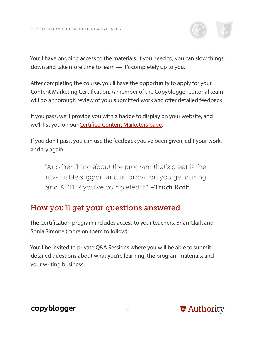

You'll have ongoing access to the materials. If you need to, you can slow things down and take more time to learn — it's completely up to you.

After completing the course, you'll have the opportunity to apply for your Content Marketing Certification. A member of the Copyblogger editorial team will do a thorough review of your submitted work and offer detailed feedback

If you pass, we'll provide you with a badge to display on your website, and we'll list you on our **Certified Content Marketers page.** 

If you don't pass, you can use the feedback you've been given, edit your work, and try again.

"Another thing about the program that's great is the invaluable support and information you get during and AFTER you've completed it." -Trudi Roth

#### How you'll get your questions answered

The Certification program includes access to your teachers, Brian Clark and Sonia Simone (more on them to follow).

You'll be invited to private Q&A Sessions where you will be able to submit detailed questions about what you're learning, the program materials, and your writing business.

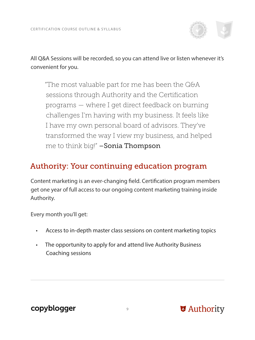

All Q&A Sessions will be recorded, so you can attend live or listen whenever it's convenient for you.

"The most valuable part for me has been the Q&A sessions through Authority and the Certification programs — where I get direct feedback on burning challenges I'm having with my business. It feels like I have my own personal board of advisors. They've transformed the way I view my business, and helped me to think big!" **– Sonia Thompson** 

#### Authority: Your continuing education program

Content marketing is an ever-changing field. Certification program members get one year of full access to our ongoing content marketing training inside Authority.

Every month you'll get:

- Access to in-depth master class sessions on content marketing topics
- The opportunity to apply for and attend live Authority Business Coaching sessions

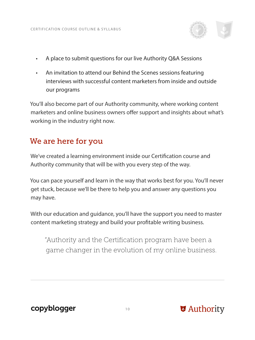

- A place to submit questions for our live Authority Q&A Sessions
- An invitation to attend our Behind the Scenes sessions featuring interviews with successful content marketers from inside and outside our programs

You'll also become part of our Authority community, where working content marketers and online business owners offer support and insights about what's working in the industry right now.

#### We are here for you

We've created a learning environment inside our Certification course and Authority community that will be with you every step of the way.

You can pace yourself and learn in the way that works best for you. You'll never get stuck, because we'll be there to help you and answer any questions you may have.

With our education and guidance, you'll have the support you need to master content marketing strategy and build your profitable writing business.

"Authority and the Certification program have been a game changer in the evolution of my online business.

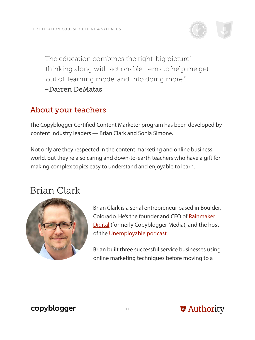

The education combines the right 'big picture' thinking along with actionable items to help me get out of 'learning mode' and into doing more." –Darren DeMatas

#### About your teachers

The Copyblogger Certified Content Marketer program has been developed by content industry leaders — Brian Clark and Sonia Simone.

Not only are they respected in the content marketing and online business world, but they're also caring and down-to-earth teachers who have a gift for making complex topics easy to understand and enjoyable to learn.

# Brian Clark



Brian Clark is a serial entrepreneur based in Boulder, Colorado. He's the founder and CEO of [Rainmaker](http://rainmakerdigital.com/)  [Digital](http://rainmakerdigital.com/) (formerly Copyblogger Media), and the host of the [Unemployable podcast](http://unemployable.com/podcast/).

Brian built three successful service businesses using online marketing techniques before moving to a

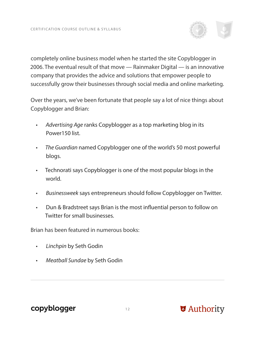

Over the years, we've been fortunate that people say a lot of nice things about Copyblogger and Brian:

- *Advertising Age* ranks Copyblogger as a top marketing blog in its Power150 list.
- *The Guardian* named Copyblogger one of the world's 50 most powerful blogs.
- Technorati says Copyblogger is one of the most popular blogs in the world.
- *Businessweek* says entrepreneurs should follow Copyblogger on Twitter.
- Dun & Bradstreet says Brian is the most influential person to follow on Twitter for small businesses.

Brian has been featured in numerous books:

- *Linchpin* by Seth Godin
- *Meatball Sundae* by Seth Godin



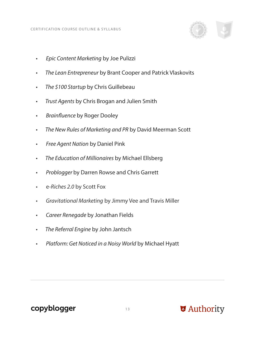

- *Epic Content Marketing* by Joe Pulizzi
- *The Lean Entrepreneur* by Brant Cooper and Patrick Vlaskovits
- *The \$100 Startup* by Chris Guillebeau
- *Trust Agents* by Chris Brogan and Julien Smith
- *Brainfluence* by Roger Dooley
- *The New Rules of Marketing and PR* by David Meerman Scott
- *Free Agent Nation* by Daniel Pink
- *The Education of Millionaires* by Michael Ellsberg
- *Problogger* by Darren Rowse and Chris Garrett
- e*-Riches 2.0* by Scott Fox
- *Gravitational Marketing* by Jimmy Vee and Travis Miller
- *Career Renegade* by Jonathan Fields
- *The Referral Engine* by John Jantsch
- *Platform: Get Noticed in a Noisy World* by Michael Hyatt

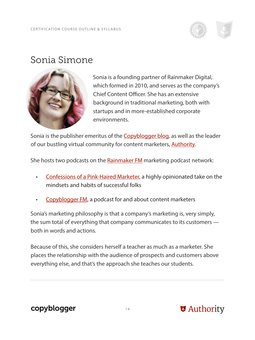

# Sonia Simone



Sonia is a founding partner of Rainmaker Digital, which formed in 2010, and serves as the company's Chief Content Officer. She has an extensive background in traditional marketing, both with startups and in more-established corporate environments.

Sonia is the publisher emeritus of the **Copyblogger blog**, as well as the leader of our bustling virtual community for content marketers, **Authority**.

She hosts two podcasts on the **Rainmaker FM** marketing podcast network:

- [Confessions of a Pink-Haired Marketer,](http://rainmaker.fm/series/pink/) a highly opinionated take on the mindsets and habits of successful folks
- [Copyblogger FM](http://rainmaker.fm/series/lede/), a podcast for and about content marketers

Sonia's marketing philosophy is that a company's marketing is, very simply, the sum total of everything that company communicates to its customers both in words and actions.

Because of this, she considers herself a teacher as much as a marketer. She places the relationship with the audience of prospects and customers above everything else, and that's the approach she teaches our students.

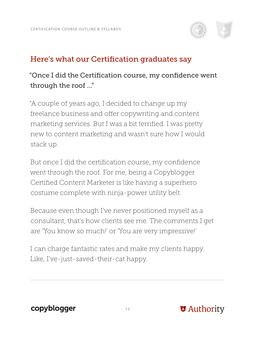

## Here's what our Certification graduates say

#### "Once I did the Certification course, my confidence went through the roof ..."

"A couple of years ago, I decided to change up my freelance business and offer copywriting and content marketing services. But I was a bit terrified. I was pretty new to content marketing and wasn't sure how I would stack up.

But once I did the certification course, my confidence went through the roof. For me, being a Copyblogger Certified Content Marketer is like having a superhero costume complete with ninja-power utility belt.

Because even though I've never positioned myself as a consultant, that's how clients see me. The comments I get are 'You know so much!' or 'You are very impressive!'

I can charge fantastic rates and make my clients happy. Like, I've-just-saved-their-cat happy.

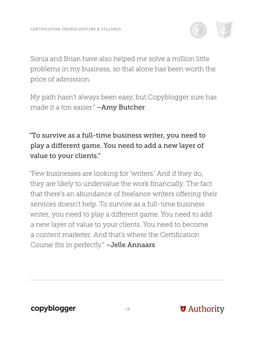

Sonia and Brian have also helped me solve a million little problems in my business, so that alone has been worth the price of admission.

My path hasn't always been easy, but Copyblogger sure has made it a ton easier." –Amy Butcher

# "To survive as a full-time business writer, you need to play a different game. You need to add a new layer of value to your clients."

"Few businesses are looking for 'writers.' And if they do, they are likely to undervalue the work financially. The fact that there's an abundance of freelance writers offering their services doesn't help. To survive as a full-time business writer, you need to play a different game. You need to add a new layer of value to your clients. You need to become a content marketer. And that's where the Certification Course fits in perfectly." –Jelle Annaars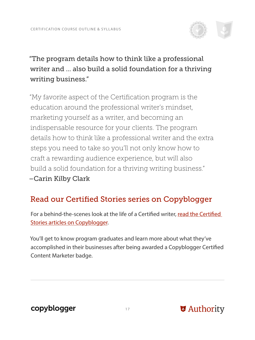

## "The program details how to think like a professional writer and ... also build a solid foundation for a thriving writing business."

"My favorite aspect of the Certification program is the education around the professional writer's mindset, marketing yourself as a writer, and becoming an indispensable resource for your clients. The program details how to think like a professional writer and the extra steps you need to take so you'll not only know how to craft a rewarding audience experience, but will also build a solid foundation for a thriving writing business." –Carin Kilby Clark

# Read our Certified Stories series on Copyblogger

For a behind-the-scenes look at the life of a Certified writer, [read the Certified](http://www.copyblogger.com/category/certified-stories/)  [Stories articles on Copyblogger](http://www.copyblogger.com/category/certified-stories/).

You'll get to know program graduates and learn more about what they've accomplished in their businesses after being awarded a Copyblogger Certified Content Marketer badge.